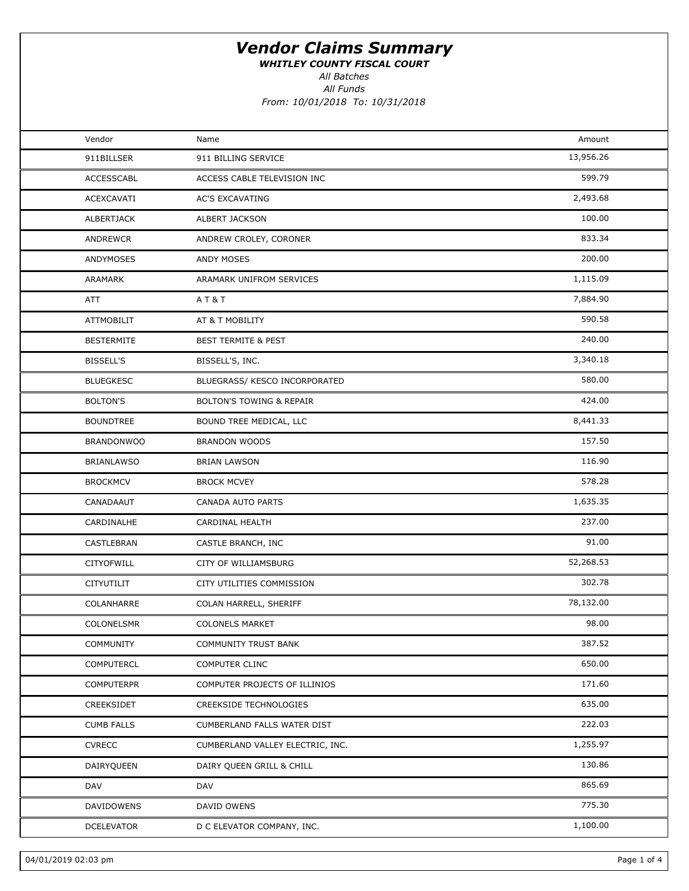WHITLEY COUNTY FISCAL COURT

All Batches

All Funds

| Vendor            | Name                                | Amount    |  |
|-------------------|-------------------------------------|-----------|--|
| 911BILLSER        | 911 BILLING SERVICE                 | 13,956.26 |  |
| ACCESSCABL        | ACCESS CABLE TELEVISION INC         | 599.79    |  |
| ACEXCAVATI        | <b>AC'S EXCAVATING</b>              | 2,493.68  |  |
| ALBERTJACK        | ALBERT JACKSON                      | 100.00    |  |
| ANDREWCR          | ANDREW CROLEY, CORONER              | 833.34    |  |
| ANDYMOSES         | <b>ANDY MOSES</b>                   | 200.00    |  |
| ARAMARK           | ARAMARK UNIFROM SERVICES            | 1,115.09  |  |
| ATT               | AT&T                                | 7,884.90  |  |
| <b>ATTMOBILIT</b> | AT & T MOBILITY                     | 590.58    |  |
| <b>BESTERMITE</b> | <b>BEST TERMITE &amp; PEST</b>      | 240.00    |  |
| <b>BISSELL'S</b>  | BISSELL'S, INC.                     | 3,340.18  |  |
| <b>BLUEGKESC</b>  | BLUEGRASS/ KESCO INCORPORATED       | 580.00    |  |
| <b>BOLTON'S</b>   | <b>BOLTON'S TOWING &amp; REPAIR</b> | 424.00    |  |
| <b>BOUNDTREE</b>  | BOUND TREE MEDICAL, LLC             | 8,441.33  |  |
| <b>BRANDONWOO</b> | <b>BRANDON WOODS</b>                | 157.50    |  |
| <b>BRIANLAWSO</b> | <b>BRIAN LAWSON</b>                 | 116.90    |  |
| <b>BROCKMCV</b>   | <b>BROCK MCVEY</b>                  | 578.28    |  |
| CANADAAUT         | CANADA AUTO PARTS                   | 1,635.35  |  |
| CARDINALHE        | CARDINAL HEALTH                     | 237.00    |  |
| CASTLEBRAN        | CASTLE BRANCH, INC                  | 91.00     |  |
| CITYOFWILL        | CITY OF WILLIAMSBURG                | 52,268.53 |  |
| <b>CITYUTILIT</b> | CITY UTILITIES COMMISSION           | 302.78    |  |
| COLANHARRE        | COLAN HARRELL, SHERIFF              | 78,132.00 |  |
| COLONELSMR        | <b>COLONELS MARKET</b>              | 98.00     |  |
| COMMUNITY         | <b>COMMUNITY TRUST BANK</b>         | 387.52    |  |
| COMPUTERCL        | <b>COMPUTER CLINC</b>               | 650.00    |  |
| <b>COMPUTERPR</b> | COMPUTER PROJECTS OF ILLINIOS       | 171.60    |  |
| CREEKSIDET        | CREEKSIDE TECHNOLOGIES              | 635.00    |  |
| <b>CUMB FALLS</b> | CUMBERLAND FALLS WATER DIST         | 222.03    |  |
| <b>CVRECC</b>     | CUMBERLAND VALLEY ELECTRIC, INC.    | 1,255.97  |  |
| DAIRYQUEEN        | DAIRY QUEEN GRILL & CHILL           | 130.86    |  |
| DAV               | DAV                                 | 865.69    |  |
| <b>DAVIDOWENS</b> | DAVID OWENS                         | 775.30    |  |
| DCELEVATOR        | D C ELEVATOR COMPANY, INC.          | 1,100.00  |  |
|                   |                                     |           |  |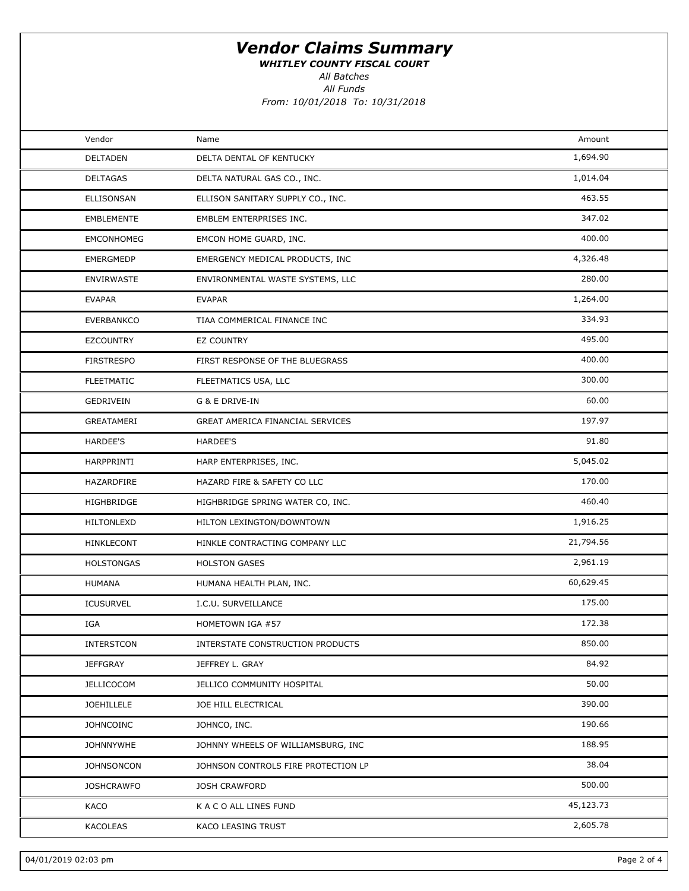WHITLEY COUNTY FISCAL COURT

All Batches

All Funds

| Vendor            | Name                                | Amount    |  |
|-------------------|-------------------------------------|-----------|--|
| DELTADEN          | DELTA DENTAL OF KENTUCKY            | 1,694.90  |  |
| <b>DELTAGAS</b>   | DELTA NATURAL GAS CO., INC.         | 1,014.04  |  |
| ELLISONSAN        | ELLISON SANITARY SUPPLY CO., INC.   | 463.55    |  |
| EMBLEMENTE        | EMBLEM ENTERPRISES INC.             | 347.02    |  |
| EMCONHOMEG        | EMCON HOME GUARD, INC.              | 400.00    |  |
| EMERGMEDP         | EMERGENCY MEDICAL PRODUCTS, INC     | 4,326.48  |  |
| <b>ENVIRWASTE</b> | ENVIRONMENTAL WASTE SYSTEMS, LLC    | 280.00    |  |
| <b>EVAPAR</b>     | <b>EVAPAR</b>                       | 1,264.00  |  |
| <b>EVERBANKCO</b> | TIAA COMMERICAL FINANCE INC         | 334.93    |  |
| <b>EZCOUNTRY</b>  | EZ COUNTRY                          | 495.00    |  |
| <b>FIRSTRESPO</b> | FIRST RESPONSE OF THE BLUEGRASS     | 400.00    |  |
| <b>FLEETMATIC</b> | FLEETMATICS USA, LLC                | 300.00    |  |
| GEDRIVEIN         | G & E DRIVE-IN                      | 60.00     |  |
| GREATAMERI        | GREAT AMERICA FINANCIAL SERVICES    | 197.97    |  |
| HARDEE'S          | HARDEE'S                            | 91.80     |  |
| HARPPRINTI        | HARP ENTERPRISES, INC.              | 5,045.02  |  |
| HAZARDFIRE        | HAZARD FIRE & SAFETY CO LLC         | 170.00    |  |
| HIGHBRIDGE        | HIGHBRIDGE SPRING WATER CO, INC.    | 460.40    |  |
| <b>HILTONLEXD</b> | HILTON LEXINGTON/DOWNTOWN           | 1,916.25  |  |
| HINKLECONT        | HINKLE CONTRACTING COMPANY LLC      | 21,794.56 |  |
| <b>HOLSTONGAS</b> | <b>HOLSTON GASES</b>                | 2,961.19  |  |
| HUMANA            | HUMANA HEALTH PLAN, INC.            | 60,629.45 |  |
| <b>ICUSURVEL</b>  | I.C.U. SURVEILLANCE                 | 175.00    |  |
| IGA               | HOMETOWN IGA #57                    | 172.38    |  |
| INTERSTCON        | INTERSTATE CONSTRUCTION PRODUCTS    | 850.00    |  |
| <b>JEFFGRAY</b>   | JEFFREY L. GRAY                     | 84.92     |  |
| <b>JELLICOCOM</b> | JELLICO COMMUNITY HOSPITAL          | 50.00     |  |
| JOEHILLELE        | JOE HILL ELECTRICAL                 | 390.00    |  |
| <b>JOHNCOINC</b>  | JOHNCO, INC.                        | 190.66    |  |
| <b>JOHNNYWHE</b>  | JOHNNY WHEELS OF WILLIAMSBURG, INC  | 188.95    |  |
| <b>JOHNSONCON</b> | JOHNSON CONTROLS FIRE PROTECTION LP | 38.04     |  |
| <b>JOSHCRAWFO</b> | <b>JOSH CRAWFORD</b>                | 500.00    |  |
| KACO              | K A C O ALL LINES FUND              | 45,123.73 |  |
| KACOLEAS          | KACO LEASING TRUST                  | 2,605.78  |  |
|                   |                                     |           |  |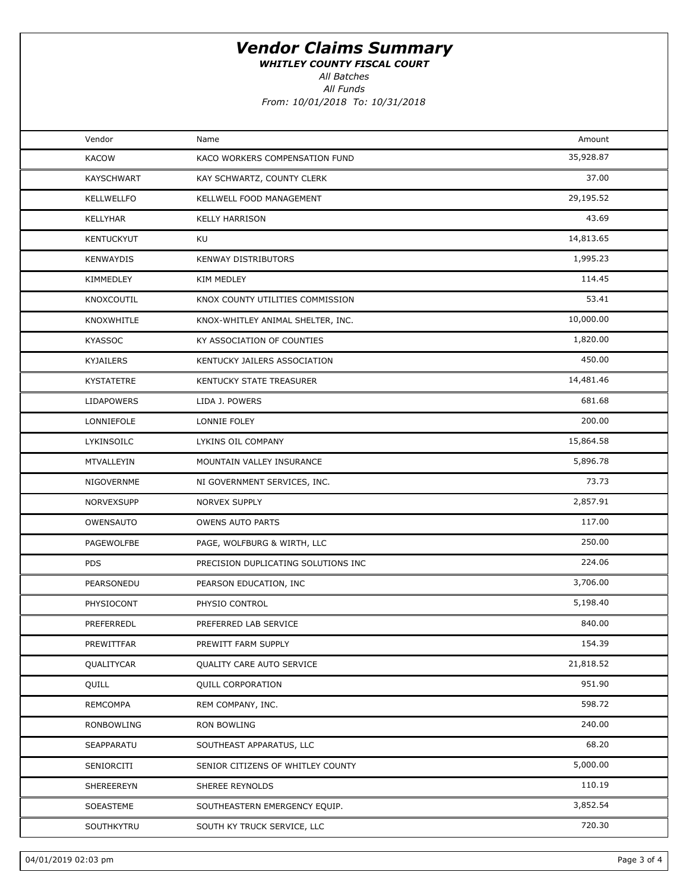WHITLEY COUNTY FISCAL COURT

All Batches

All Funds

| Vendor            | Name                                | Amount    |  |
|-------------------|-------------------------------------|-----------|--|
| <b>KACOW</b>      | KACO WORKERS COMPENSATION FUND      | 35,928.87 |  |
| <b>KAYSCHWART</b> | KAY SCHWARTZ, COUNTY CLERK          | 37.00     |  |
| KELLWELLFO        | KELLWELL FOOD MANAGEMENT            | 29,195.52 |  |
| KELLYHAR          | <b>KELLY HARRISON</b>               | 43.69     |  |
| KENTUCKYUT        | KU                                  | 14,813.65 |  |
| <b>KENWAYDIS</b>  | <b>KENWAY DISTRIBUTORS</b>          | 1,995.23  |  |
| KIMMEDLEY         | <b>KIM MEDLEY</b>                   | 114.45    |  |
| KNOXCOUTIL        | KNOX COUNTY UTILITIES COMMISSION    | 53.41     |  |
| KNOXWHITLE        | KNOX-WHITLEY ANIMAL SHELTER, INC.   | 10,000.00 |  |
| <b>KYASSOC</b>    | KY ASSOCIATION OF COUNTIES          | 1,820.00  |  |
| <b>KYJAILERS</b>  | KENTUCKY JAILERS ASSOCIATION        | 450.00    |  |
| <b>KYSTATETRE</b> | KENTUCKY STATE TREASURER            | 14,481.46 |  |
| <b>LIDAPOWERS</b> | LIDA J. POWERS                      | 681.68    |  |
| LONNIEFOLE        | LONNIE FOLEY                        | 200.00    |  |
| LYKINSOILC        | LYKINS OIL COMPANY                  | 15,864.58 |  |
| MTVALLEYIN        | MOUNTAIN VALLEY INSURANCE           | 5,896.78  |  |
| NIGOVERNME        | NI GOVERNMENT SERVICES, INC.        | 73.73     |  |
| NORVEXSUPP        | NORVEX SUPPLY                       | 2,857.91  |  |
| OWENSAUTO         | <b>OWENS AUTO PARTS</b>             | 117.00    |  |
| PAGEWOLFBE        | PAGE, WOLFBURG & WIRTH, LLC         | 250.00    |  |
| PDS               | PRECISION DUPLICATING SOLUTIONS INC | 224.06    |  |
| PEARSONEDU        | PEARSON EDUCATION, INC              | 3,706.00  |  |
| PHYSIOCONT        | PHYSIO CONTROL                      | 5,198.40  |  |
| PREFERREDL        | PREFERRED LAB SERVICE               | 840.00    |  |
| PREWITTFAR        | PREWITT FARM SUPPLY                 | 154.39    |  |
| QUALITYCAR        | QUALITY CARE AUTO SERVICE           | 21,818.52 |  |
| QUILL             | <b>QUILL CORPORATION</b>            | 951.90    |  |
| REMCOMPA          | REM COMPANY, INC.                   | 598.72    |  |
| RONBOWLING        | RON BOWLING                         | 240.00    |  |
| SEAPPARATU        | SOUTHEAST APPARATUS, LLC            | 68.20     |  |
| SENIORCITI        | SENIOR CITIZENS OF WHITLEY COUNTY   | 5,000.00  |  |
| SHEREEREYN        | SHEREE REYNOLDS                     | 110.19    |  |
| SOEASTEME         | SOUTHEASTERN EMERGENCY EQUIP.       | 3,852.54  |  |
| SOUTHKYTRU        | SOUTH KY TRUCK SERVICE, LLC         | 720.30    |  |